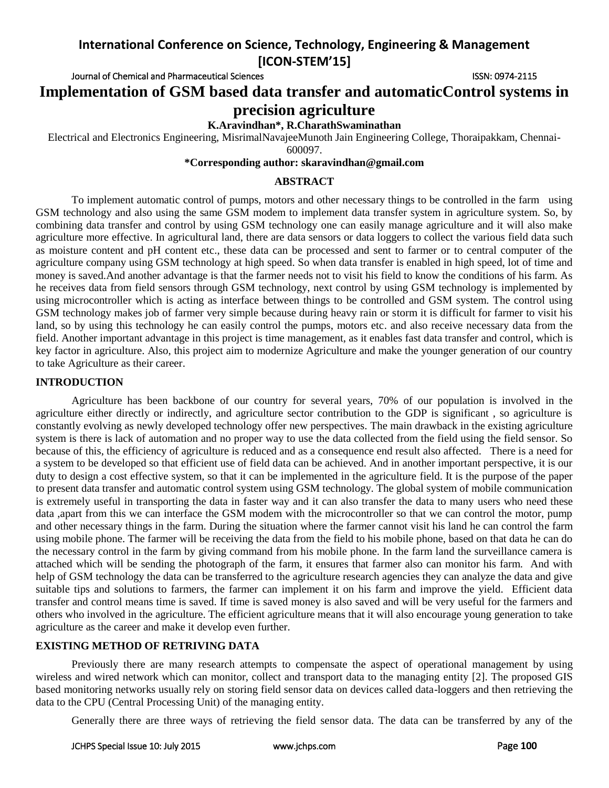Journal of Chemical and Pharmaceutical Sciences **ISSN: 0974-2115** ISSN: 0974-2115

**Implementation of GSM based data transfer and automaticControl systems in precision agriculture**

## **K.Aravindhan\*, R.CharathSwaminathan**

Electrical and Electronics Engineering, MisrimalNavajeeMunoth Jain Engineering College, Thoraipakkam, Chennai-

600097.

# **\*Corresponding author: skaravindhan@gmail.com**

#### **ABSTRACT**

To implement automatic control of pumps, motors and other necessary things to be controlled in the farm using GSM technology and also using the same GSM modem to implement data transfer system in agriculture system. So, by combining data transfer and control by using GSM technology one can easily manage agriculture and it will also make agriculture more effective. In agricultural land, there are data sensors or data loggers to collect the various field data such as moisture content and pH content etc., these data can be processed and sent to farmer or to central computer of the agriculture company using GSM technology at high speed. So when data transfer is enabled in high speed, lot of time and money is saved.And another advantage is that the farmer needs not to visit his field to know the conditions of his farm. As he receives data from field sensors through GSM technology, next control by using GSM technology is implemented by using microcontroller which is acting as interface between things to be controlled and GSM system. The control using GSM technology makes job of farmer very simple because during heavy rain or storm it is difficult for farmer to visit his land, so by using this technology he can easily control the pumps, motors etc. and also receive necessary data from the field. Another important advantage in this project is time management, as it enables fast data transfer and control, which is key factor in agriculture. Also, this project aim to modernize Agriculture and make the younger generation of our country to take Agriculture as their career.

#### **INTRODUCTION**

Agriculture has been backbone of our country for several years, 70% of our population is involved in the agriculture either directly or indirectly, and agriculture sector contribution to the GDP is significant , so agriculture is constantly evolving as newly developed technology offer new perspectives. The main drawback in the existing agriculture system is there is lack of automation and no proper way to use the data collected from the field using the field sensor. So because of this, the efficiency of agriculture is reduced and as a consequence end result also affected. There is a need for a system to be developed so that efficient use of field data can be achieved. And in another important perspective, it is our duty to design a cost effective system, so that it can be implemented in the agriculture field. It is the purpose of the paper to present data transfer and automatic control system using GSM technology. The global system of mobile communication is extremely useful in transporting the data in faster way and it can also transfer the data to many users who need these data ,apart from this we can interface the GSM modem with the microcontroller so that we can control the motor, pump and other necessary things in the farm. During the situation where the farmer cannot visit his land he can control the farm using mobile phone. The farmer will be receiving the data from the field to his mobile phone, based on that data he can do the necessary control in the farm by giving command from his mobile phone. In the farm land the surveillance camera is attached which will be sending the photograph of the farm, it ensures that farmer also can monitor his farm. And with help of GSM technology the data can be transferred to the agriculture research agencies they can analyze the data and give suitable tips and solutions to farmers, the farmer can implement it on his farm and improve the yield. Efficient data transfer and control means time is saved. If time is saved money is also saved and will be very useful for the farmers and others who involved in the agriculture. The efficient agriculture means that it will also encourage young generation to take agriculture as the career and make it develop even further.

## **EXISTING METHOD OF RETRIVING DATA**

Previously there are many research attempts to compensate the aspect of operational management by using wireless and wired network which can monitor, collect and transport data to the managing entity [2]. The proposed GIS based monitoring networks usually rely on storing field sensor data on devices called data-loggers and then retrieving the data to the CPU (Central Processing Unit) of the managing entity.

Generally there are three ways of retrieving the field sensor data. The data can be transferred by any of the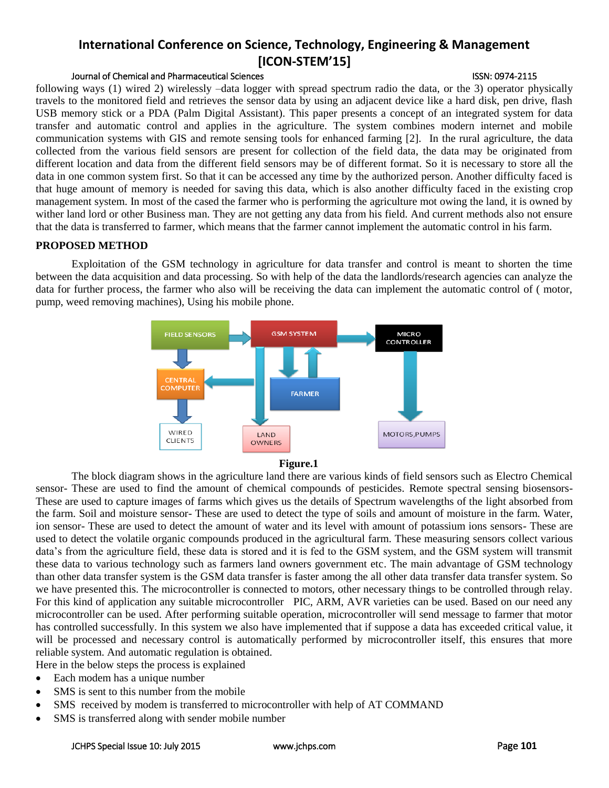# Journal of Chemical and Pharmaceutical Sciences **ISSN: 0974-2115** ISSN: 0974-2115

following ways (1) wired 2) wirelessly –data logger with spread spectrum radio the data, or the 3) operator physically travels to the monitored field and retrieves the sensor data by using an adjacent device like a hard disk, pen drive, flash USB memory stick or a PDA (Palm Digital Assistant). This paper presents a concept of an integrated system for data transfer and automatic control and applies in the agriculture. The system combines modern internet and mobile communication systems with GIS and remote sensing tools for enhanced farming [2]. In the rural agriculture, the data collected from the various field sensors are present for collection of the field data, the data may be originated from different location and data from the different field sensors may be of different format. So it is necessary to store all the data in one common system first. So that it can be accessed any time by the authorized person. Another difficulty faced is that huge amount of memory is needed for saving this data, which is also another difficulty faced in the existing crop management system. In most of the cased the farmer who is performing the agriculture mot owing the land, it is owned by wither land lord or other Business man. They are not getting any data from his field. And current methods also not ensure that the data is transferred to farmer, which means that the farmer cannot implement the automatic control in his farm.

## **PROPOSED METHOD**

Exploitation of the GSM technology in agriculture for data transfer and control is meant to shorten the time between the data acquisition and data processing. So with help of the data the landlords/research agencies can analyze the data for further process, the farmer who also will be receiving the data can implement the automatic control of ( motor, pump, weed removing machines), Using his mobile phone.





The block diagram shows in the agriculture land there are various kinds of field sensors such as Electro Chemical sensor- These are used to find the amount of chemical compounds of pesticides. Remote spectral sensing biosensors-These are used to capture images of farms which gives us the details of Spectrum wavelengths of the light absorbed from the farm. Soil and moisture sensor- These are used to detect the type of soils and amount of moisture in the farm. Water, ion sensor- These are used to detect the amount of water and its level with amount of potassium ions sensors- These are used to detect the volatile organic compounds produced in the agricultural farm. These measuring sensors collect various data's from the agriculture field, these data is stored and it is fed to the GSM system, and the GSM system will transmit these data to various technology such as farmers land owners government etc. The main advantage of GSM technology than other data transfer system is the GSM data transfer is faster among the all other data transfer data transfer system. So we have presented this. The microcontroller is connected to motors, other necessary things to be controlled through relay. For this kind of application any suitable microcontroller PIC, ARM, AVR varieties can be used. Based on our need any microcontroller can be used. After performing suitable operation, microcontroller will send message to farmer that motor has controlled successfully. In this system we also have implemented that if suppose a data has exceeded critical value, it will be processed and necessary control is automatically performed by microcontroller itself, this ensures that more reliable system. And automatic regulation is obtained.

Here in the below steps the process is explained

- Each modem has a unique number
- SMS is sent to this number from the mobile
- SMS received by modem is transferred to microcontroller with help of AT COMMAND
- SMS is transferred along with sender mobile number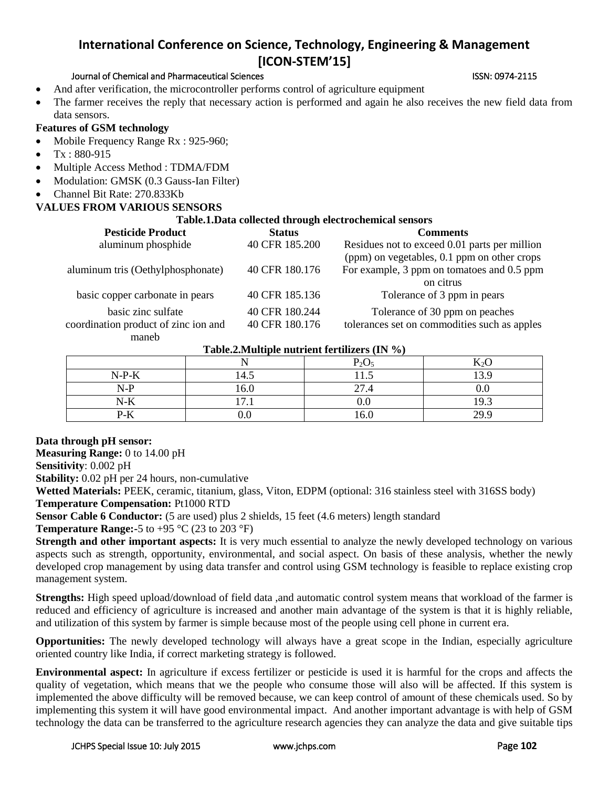### Journal of Chemical and Pharmaceutical Sciences **ISSN: 0974-2115** ISSN: 0974-2115

- And after verification, the microcontroller performs control of agriculture equipment
- The farmer receives the reply that necessary action is performed and again he also receives the new field data from data sensors.

### **Features of GSM technology**

- Mobile Frequency Range Rx : 925-960;
- Tx : 880-915
- Multiple Access Method : TDMA/FDM
- Modulation: GMSK (0.3 Gauss-Ian Filter)
- Channel Bit Rate: 270.833Kb

# **VALUES FROM VARIOUS SENSORS**

### **Table.1.Data collected through electrochemical sensors**

| <b>Pesticide Product</b>             | <b>Status</b>  | <b>Comments</b>                               |
|--------------------------------------|----------------|-----------------------------------------------|
| aluminum phosphide                   | 40 CFR 185.200 | Residues not to exceed 0.01 parts per million |
|                                      |                | (ppm) on vegetables, 0.1 ppm on other crops   |
| aluminum tris (Oethylphosphonate)    | 40 CFR 180.176 | For example, 3 ppm on tomatoes and 0.5 ppm    |
|                                      |                | on citrus                                     |
| basic copper carbonate in pears      | 40 CFR 185.136 | Tolerance of 3 ppm in pears                   |
| basic zinc sulfate                   | 40 CFR 180.244 | Tolerance of 30 ppm on peaches                |
| coordination product of zinc ion and | 40 CFR 180.176 | tolerances set on commodities such as apples  |
| maneb                                |                |                                               |

#### **Table.2.Multiple nutrient fertilizers (IN %)**

|         |                     | $P_2O$ | $\mathbf{r}$ $\sim$<br> |  |
|---------|---------------------|--------|-------------------------|--|
| $N-P-K$ | 14.5                | 11.J   | 20                      |  |
| $N-P$   | 16.0                | 27.4   | v.v                     |  |
| $N-K$   | $\overline{ }$<br>. |        | $\overline{Q}$          |  |
| $P-K$   |                     |        | 200                     |  |

## **Data through pH sensor:**

**Measuring Range:** 0 to 14.00 pH **Sensitivity**: 0.002 pH

**Stability:** 0.02 pH per 24 hours, non-cumulative

**Wetted Materials:** PEEK, ceramic, titanium, glass, Viton, EDPM (optional: 316 stainless steel with 316SS body) **Temperature Compensation:** Pt1000 RTD

**Sensor Cable 6 Conductor:** (5 are used) plus 2 shields, 15 feet (4.6 meters) length standard

**Temperature Range:-**5 to +95 °C (23 to 203 °F)

**Strength and other important aspects:** It is very much essential to analyze the newly developed technology on various aspects such as strength, opportunity, environmental, and social aspect. On basis of these analysis, whether the newly developed crop management by using data transfer and control using GSM technology is feasible to replace existing crop management system.

**Strengths:** High speed upload/download of field data ,and automatic control system means that workload of the farmer is reduced and efficiency of agriculture is increased and another main advantage of the system is that it is highly reliable, and utilization of this system by farmer is simple because most of the people using cell phone in current era.

**Opportunities:** The newly developed technology will always have a great scope in the Indian, especially agriculture oriented country like India, if correct marketing strategy is followed.

**Environmental aspect:** In agriculture if excess fertilizer or pesticide is used it is harmful for the crops and affects the quality of vegetation, which means that we the people who consume those will also will be affected. If this system is implemented the above difficulty will be removed because, we can keep control of amount of these chemicals used. So by implementing this system it will have good environmental impact. And another important advantage is with help of GSM technology the data can be transferred to the agriculture research agencies they can analyze the data and give suitable tips